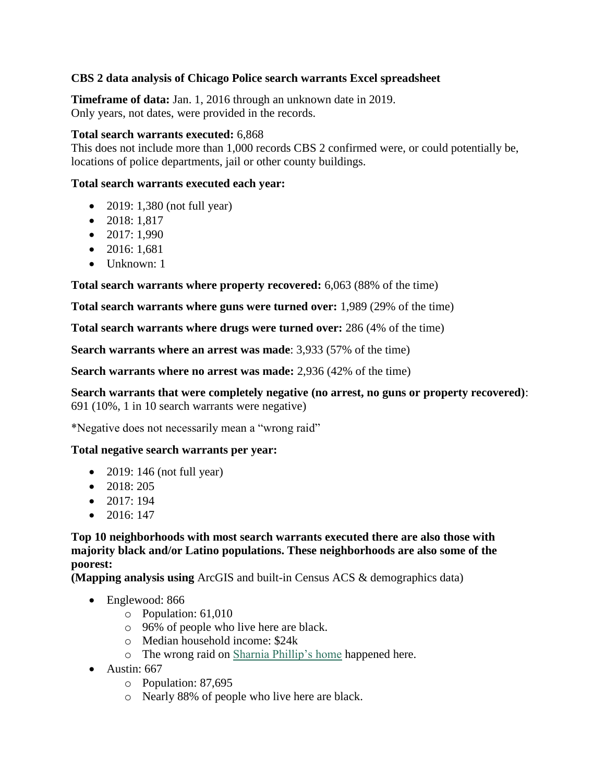## **CBS 2 data analysis of Chicago Police search warrants Excel spreadsheet**

**Timeframe of data:** Jan. 1, 2016 through an unknown date in 2019. Only years, not dates, were provided in the records.

#### **Total search warrants executed:** 6,868

This does not include more than 1,000 records CBS 2 confirmed were, or could potentially be, locations of police departments, jail or other county buildings.

### **Total search warrants executed each year:**

- 2019: 1,380 (not full year)
- $\bullet$  2018: 1,817
- $\bullet$  2017: 1,990
- $\bullet$  2016: 1.681
- $\bullet$  Unknown: 1

**Total search warrants where property recovered:** 6,063 (88% of the time)

**Total search warrants where guns were turned over:** 1,989 (29% of the time)

**Total search warrants where drugs were turned over:** 286 (4% of the time)

**Search warrants where an arrest was made**: 3,933 (57% of the time)

**Search warrants where no arrest was made:** 2,936 (42% of the time)

**Search warrants that were completely negative (no arrest, no guns or property recovered)**: 691 (10%, 1 in 10 search warrants were negative)

\*Negative does not necessarily mean a "wrong raid"

## **Total negative search warrants per year:**

- 2019: 146 (not full year)
- 2018: 205
- $\bullet$  2017: 194
- $\bullet$  2016: 147

**Top 10 neighborhoods with most search warrants executed there are also those with majority black and/or Latino populations. These neighborhoods are also some of the poorest:**

**(Mapping analysis using** ArcGIS and built-in Census ACS & demographics data)

- Englewood: 866
	- o Population: 61,010
	- o 96% of people who live here are black.
	- o Median household income: \$24k
	- o The wrong raid on [Sharnia Phillip's home](https://chicago.cbslocal.com/2018/11/08/chicago-police-raids-wrong-homes-cbs-2-investigators/) happened here.
- $\bullet$  Austin: 667
	- o Population: 87,695
	- o Nearly 88% of people who live here are black.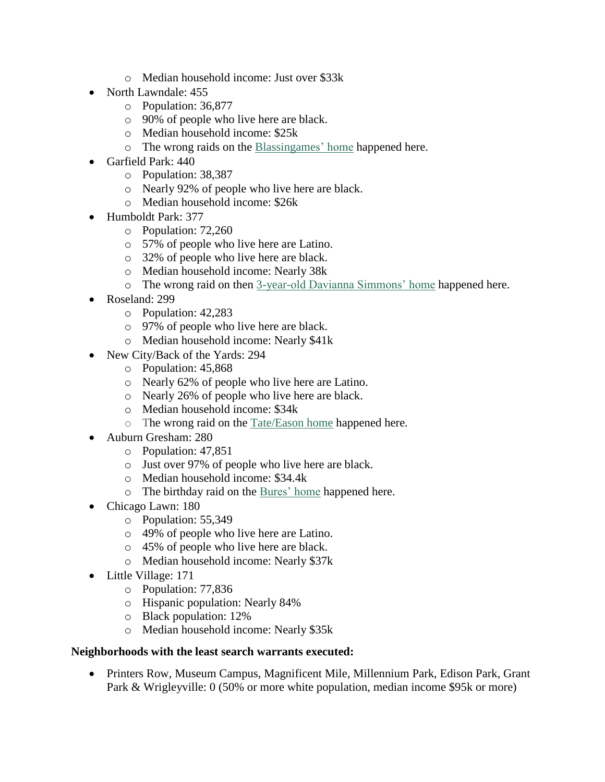- o Median household income: Just over \$33k
- North Lawndale: 455
	- o Population: 36,877
	- o 90% of people who live here are black.
	- o Median household income: \$25k
	- o The wrong raids on the [Blassingames' home](https://chicago.cbslocal.com/2019/07/18/chicago-police-raid-wrong-homes/) happened here.
- Garfield Park: 440
	- o Population: 38,387
	- o Nearly 92% of people who live here are black.
	- o Median household income: \$26k
- Humboldt Park: 377
	- o Population: 72,260
	- o 57% of people who live here are Latino.
	- o 32% of people who live here are black.
	- o Median household income: Nearly 38k
	- o The wrong raid on then [3-year-old Davianna Simmons' home](http://cbschicago.com/unwarranted) happened here.
- Roseland: 299
	- o Population: 42,283
	- o 97% of people who live here are black.
	- o Median household income: Nearly \$41k
- New City/Back of the Yards: 294
	- o Population: 45,868
	- o Nearly 62% of people who live here are Latino.
	- o Nearly 26% of people who live here are black.
	- o Median household income: \$34k
	- o The wrong raid on the [Tate/Eason home](https://chicago.cbslocal.com/2018/11/08/chicago-police-raids-wrong-homes-cbs-2-investigators/) happened here.
- Auburn Gresham: 280
	- o Population: 47,851
	- o Just over 97% of people who live here are black.
	- o Median household income: \$34.4k
	- o The birthday raid on the [Bures' home](https://chicago.cbslocal.com/2019/03/25/chicago-police-wrong-raid-birthday-party-4-year-old/) happened here.
- Chicago Lawn: 180
	- o Population: 55,349
	- o 49% of people who live here are Latino.
	- o 45% of people who live here are black.
	- o Median household income: Nearly \$37k
- Little Village: 171
	- o Population: 77,836
	- o Hispanic population: Nearly 84%
	- o Black population: 12%
	- o Median household income: Nearly \$35k

## **Neighborhoods with the least search warrants executed:**

 Printers Row, Museum Campus, Magnificent Mile, Millennium Park, Edison Park, Grant Park & Wrigleyville: 0 (50% or more white population, median income \$95k or more)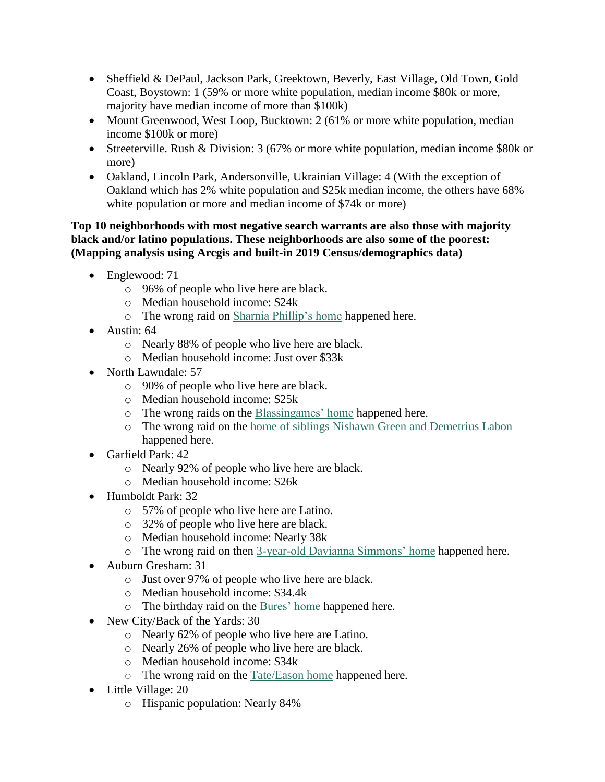- Sheffield & DePaul, Jackson Park, Greektown, Beverly, East Village, Old Town, Gold Coast, Boystown: 1 (59% or more white population, median income \$80k or more, majority have median income of more than \$100k)
- Mount Greenwood, West Loop, Bucktown: 2 (61% or more white population, median income \$100k or more)
- Streeterville. Rush & Division: 3 (67% or more white population, median income \$80k or more)
- Oakland, Lincoln Park, Andersonville, Ukrainian Village: 4 (With the exception of Oakland which has 2% white population and \$25k median income, the others have 68% white population or more and median income of \$74k or more)

### **Top 10 neighborhoods with most negative search warrants are also those with majority black and/or latino populations. These neighborhoods are also some of the poorest: (Mapping analysis using Arcgis and built-in 2019 Census/demographics data)**

- Englewood: 71
	- o 96% of people who live here are black.
	- o Median household income: \$24k
	- o The wrong raid on [Sharnia Phillip's home](https://chicago.cbslocal.com/2018/11/08/chicago-police-raids-wrong-homes-cbs-2-investigators/) happened here.
- Austin: 64
	- o Nearly 88% of people who live here are black.
	- o Median household income: Just over \$33k
- North Lawndale: 57
	- o 90% of people who live here are black.
	- o Median household income: \$25k
	- o The wrong raids on the [Blassingames' home](https://chicago.cbslocal.com/2019/07/18/chicago-police-raid-wrong-homes/) happened here.
	- o The wrong raid on the [home of siblings Nishawn Green and Demetrius Labon](http://cbschicago.com/unwarranted) happened here.
- Garfield Park: 42
	- o Nearly 92% of people who live here are black.
	- o Median household income: \$26k
- Humboldt Park: 32
	- o 57% of people who live here are Latino.
	- o 32% of people who live here are black.
	- o Median household income: Nearly 38k
	- o The wrong raid on then [3-year-old Davianna Simmons' home](http://cbschicago.com/unwarranted) happened here.
- Auburn Gresham: 31
	- o Just over 97% of people who live here are black.
	- o Median household income: \$34.4k
	- o The birthday raid on the [Bures' home](https://chicago.cbslocal.com/2019/03/25/chicago-police-wrong-raid-birthday-party-4-year-old/) happened here.
- New City/Back of the Yards: 30
	- o Nearly 62% of people who live here are Latino.
	- o Nearly 26% of people who live here are black.
	- o Median household income: \$34k
	- o The wrong raid on the [Tate/Eason home](https://chicago.cbslocal.com/2018/11/08/chicago-police-raids-wrong-homes-cbs-2-investigators/) happened here.
- Little Village: 20
	- o Hispanic population: Nearly 84%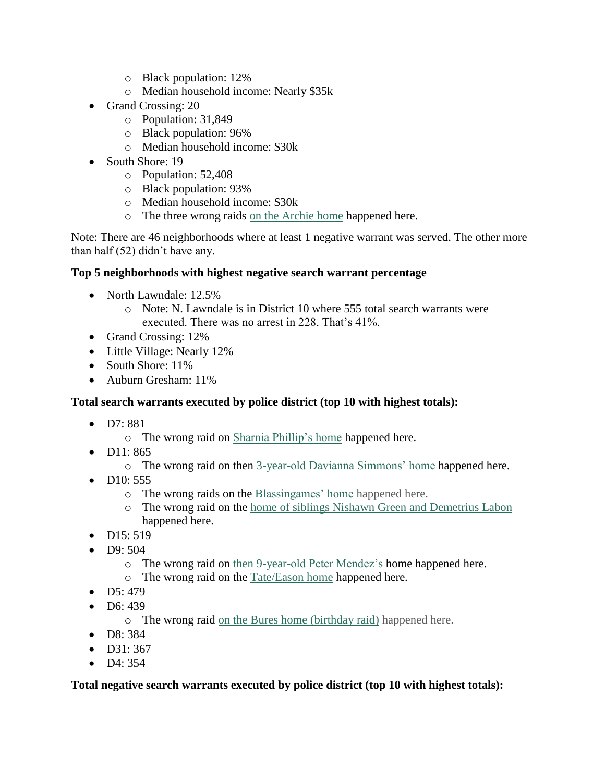- o Black population: 12%
- o Median household income: Nearly \$35k
- Grand Crossing: 20
	- o Population: 31,849
	- o Black population: 96%
	- o Median household income: \$30k
- South Shore: 19
	- o Population: 52,408
	- o Black population: 93%
	- o Median household income: \$30k
	- o The three wrong raids [on the Archie home](https://chicago.cbslocal.com/2019/07/18/chicago-police-raid-wrong-homes/) happened here.

Note: There are 46 neighborhoods where at least 1 negative warrant was served. The other more than half (52) didn't have any.

## **Top 5 neighborhoods with highest negative search warrant percentage**

- North Lawndale: 12.5%
	- o Note: N. Lawndale is in District 10 where 555 total search warrants were executed. There was no arrest in 228. That's 41%.
- Grand Crossing: 12%
- Little Village: Nearly 12%
- South Shore: 11%
- Auburn Gresham: 11%

## **Total search warrants executed by police district (top 10 with highest totals):**

- $\bullet$  D7:881
	- o The wrong raid on [Sharnia Phillip's home](https://chicago.cbslocal.com/2018/11/08/chicago-police-raids-wrong-homes-cbs-2-investigators/) happened here.
- $\n **D11: 865**\n$ 
	- o The wrong raid on then [3-year-old Davianna Simmons' home](http://cbschicago.com/unwarranted) happened here.
- $\bullet$  D<sub>10</sub>: 555
	- o The wrong raids on the [Blassingames' home](https://chicago.cbslocal.com/2019/07/18/chicago-police-raid-wrong-homes/) happened here.
	- o The wrong raid on the [home of siblings Nishawn Green and Demetrius Labon](http://cbschicago.com/unwarranted) happened here.
- $\n **D15:** 519\n$
- $\bullet$  D9: 504
	- o The wrong raid on [then 9-year-old Peter Mendez's](https://chicago.cbslocal.com/2018/08/14/chicago-police-cpd-raid-wrong-home-point-guns-at-9-year-old-boy-peter-mendez/) home happened here.
	- o The wrong raid on the [Tate/Eason home](https://chicago.cbslocal.com/2018/11/08/chicago-police-raids-wrong-homes-cbs-2-investigators/) happened here.
- $\bullet$  D5: 479
- $\bullet$  D6: 439
	- o The wrong raid [on the Bures home \(birthday raid\)](https://chicago.cbslocal.com/2019/03/25/chicago-police-wrong-raid-birthday-party-4-year-old/) happened here.
- D8: 384
- $\bullet$  D31: 367
- $\bullet$  D4: 354

**Total negative search warrants executed by police district (top 10 with highest totals):**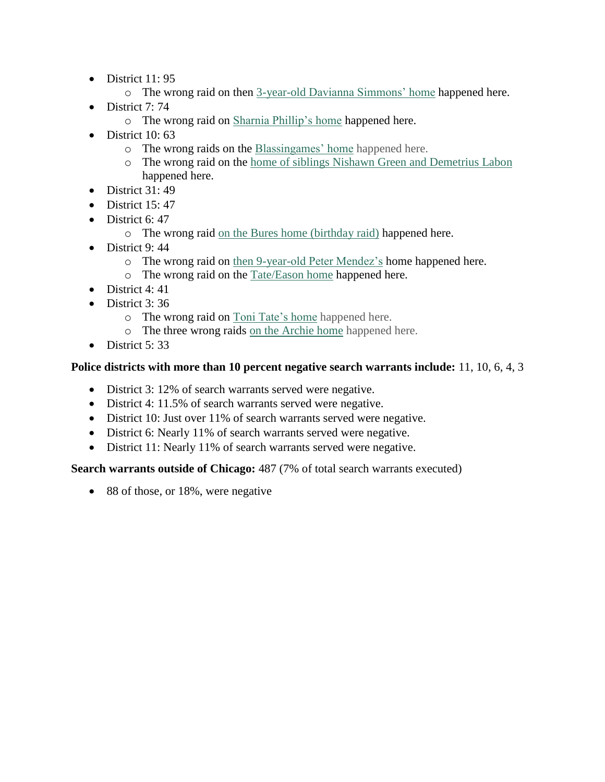- District 11:95
	- o The wrong raid on then [3-year-old Davianna Simmons' home](http://cbschicago.com/unwarranted) happened here.
- $\bullet$  District 7:74
	- o The wrong raid on [Sharnia Phillip's home](https://chicago.cbslocal.com/2018/11/08/chicago-police-raids-wrong-homes-cbs-2-investigators/) happened here.
- $\bullet$  District 10:63
	- o The wrong raids on the [Blassingames' home](https://chicago.cbslocal.com/2019/07/18/chicago-police-raid-wrong-homes/) happened here.
	- o The wrong raid on the [home of siblings Nishawn Green and Demetrius Labon](http://cbschicago.com/unwarranted) happened here.
- $\bullet$  District 31:49
- $\bullet$  District 15:47
- $\bullet$  District 6: 47
	- o The wrong raid [on the Bures home \(birthday raid\)](https://chicago.cbslocal.com/2019/03/25/chicago-police-wrong-raid-birthday-party-4-year-old/) happened here.
- $\bullet$  District 9:44
	- o The wrong raid on [then 9-year-old Peter Mendez's](https://chicago.cbslocal.com/2018/08/14/chicago-police-cpd-raid-wrong-home-point-guns-at-9-year-old-boy-peter-mendez/) home happened here.
	- o The wrong raid on the [Tate/Eason home](https://chicago.cbslocal.com/2018/11/08/chicago-police-raids-wrong-homes-cbs-2-investigators/) happened here.
- $\bullet$  District 4: 41
- $\bullet$  District 3:36
	- o The wrong raid on [Toni Tate's home](https://chicago.cbslocal.com/2020/03/06/sgt-anthony-bruno-body-cams-turned-off-chicago-polcie-during-wrong-raid/) happened here.
	- o The three wrong raids [on the Archie home](https://chicago.cbslocal.com/2019/07/18/chicago-police-raid-wrong-homes/) happened here.
- $\bullet$  District 5: 33

# **Police districts with more than 10 percent negative search warrants include:** 11, 10, 6, 4, 3

- District 3: 12% of search warrants served were negative.
- District 4: 11.5% of search warrants served were negative.
- District 10: Just over 11% of search warrants served were negative.
- District 6: Nearly 11% of search warrants served were negative.
- District 11: Nearly 11% of search warrants served were negative.

**Search warrants outside of Chicago:** 487 (7% of total search warrants executed)

• 88 of those, or 18%, were negative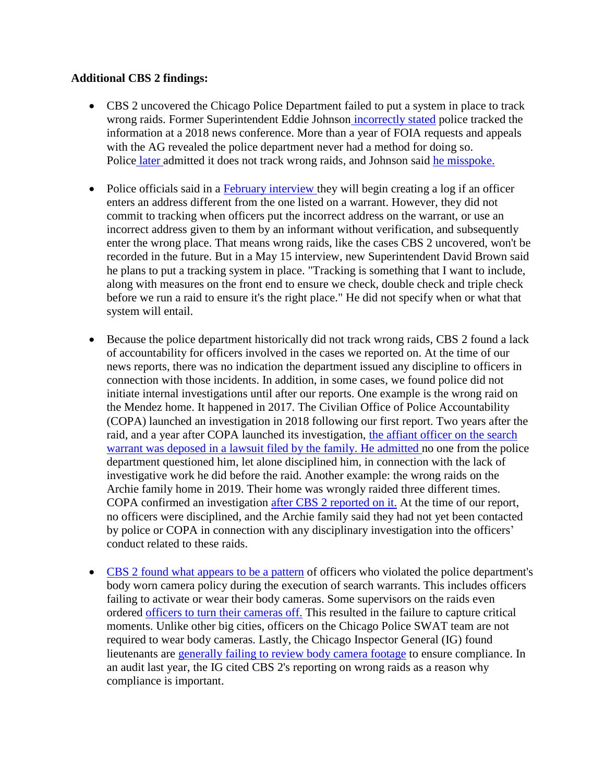#### **Additional CBS 2 findings:**

- CBS 2 uncovered the Chicago Police Department failed to put a system in place to track wrong raids. Former Superintendent Eddie Johnson [incorrectly](https://chicago.cbslocal.com/2018/11/09/chicago-police-raids-wrong-cbs-2-investigators/) stated police tracked the information at a 2018 news conference. More than a year of FOIA requests and appeals with the AG revealed the police department never had a method for doing so. Police [later](https://chicago.cbslocal.com/2019/10/07/wrong-raid-bodycam-video-refused/) admitted it does not track wrong raids, and Johnson said he [misspoke.](https://chicago.cbslocal.com/2019/11/14/police-supt-eddie-johnson-wrong-raids-radio-interview/)
- Police officials said in a February [interview](https://chicago.cbslocal.com/2020/02/06/wrong-raid-chicago-police-guns-pointed-at-children/) they will begin creating a log if an officer enters an address different from the one listed on a warrant. However, they did not commit to tracking when officers put the incorrect address on the warrant, or use an incorrect address given to them by an informant without verification, and subsequently enter the wrong place. That means wrong raids, like the cases CBS 2 uncovered, won't be recorded in the future. But in a May 15 interview, new Superintendent David Brown said he plans to put a tracking system in place. "Tracking is something that I want to include, along with measures on the front end to ensure we check, double check and triple check before we run a raid to ensure it's the right place." He did not specify when or what that system will entail.
- Because the police department historically did not track wrong raids, CBS 2 found a lack of accountability for officers involved in the cases we reported on. At the time of our news reports, there was no indication the department issued any discipline to officers in connection with those incidents. In addition, in some cases, we found police did not initiate internal investigations until after our reports. One example is the wrong raid on the Mendez home. It happened in 2017. The Civilian Office of Police Accountability (COPA) launched an investigation in 2018 following our first report. Two years after the raid, and a year after COPA launched its investigation, the affiant [officer](https://chicago.cbslocal.com/2019/10/03/chicago-police-officers-questioned-on-video-for-lawsuit-about-raiding-wrong-home/) on the search warrant was deposed in a lawsuit filed by the family. He [admitted](https://chicago.cbslocal.com/2019/10/03/chicago-police-officers-questioned-on-video-for-lawsuit-about-raiding-wrong-home/) no one from the police department questioned him, let alone disciplined him, in connection with the lack of investigative work he did before the raid. Another example: the wrong raids on the Archie family home in 2019. Their home was wrongly raided three different times. COPA confirmed an investigation after CBS 2 [reported](https://chicago.cbslocal.com/2020/03/06/sgt-anthony-bruno-body-cams-turned-off-chicago-polcie-during-wrong-raid/) on it. At the time of our report, no officers were disciplined, and the Archie family said they had not yet been contacted by police or COPA in connection with any disciplinary investigation into the officers' conduct related to these raids.
- CBS 2 found what [appears](https://chicago.cbslocal.com/2019/05/04/key-body-camera-footage-missing-after-chicago-police-officers-raid-wrong-homes-point-guns-at-children/) to be a pattern of officers who violated the police department's body worn camera policy during the execution of search warrants. This includes officers failing to activate or wear their body cameras. Some supervisors on the raids even ordered officers to turn their [cameras](https://chicago.cbslocal.com/2020/03/06/sgt-anthony-bruno-body-cams-turned-off-chicago-polcie-during-wrong-raid/) off. This resulted in the failure to capture critical moments. Unlike other big cities, officers on the Chicago Police SWAT team are not required to wear body cameras. Lastly, the Chicago Inspector General (IG) found lieutenants are [generally](https://chicago.cbslocal.com/2019/07/30/inspector-general-chicago-police-body-cameras/) failing to review body camera footage to ensure compliance. In an audit last year, the IG cited CBS 2's reporting on wrong raids as a reason why compliance is important.